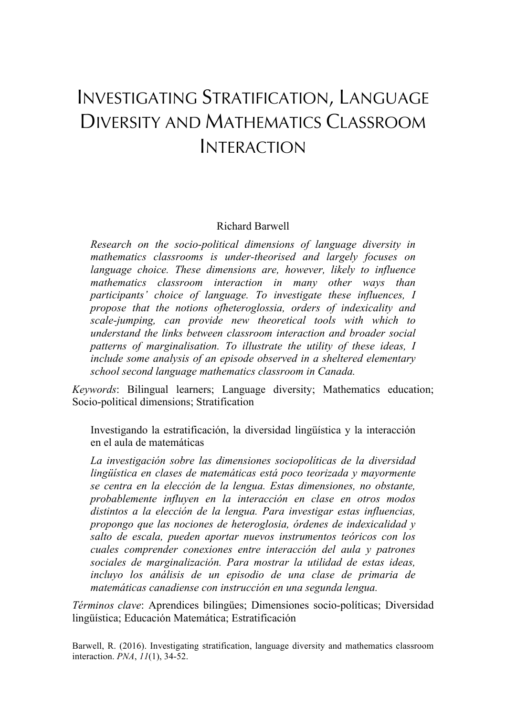# INVESTIGATING STRATIFICATION, LANGUAGE DIVERSITY AND MATHEMATICS CLASSROOM INTERACTION

### Richard Barwell

*Research on the socio-political dimensions of language diversity in mathematics classrooms is under-theorised and largely focuses on language choice. These dimensions are, however, likely to influence mathematics classroom interaction in many other ways than participants' choice of language. To investigate these influences, I propose that the notions ofheteroglossia, orders of indexicality and scale-jumping, can provide new theoretical tools with which to understand the links between classroom interaction and broader social patterns of marginalisation. To illustrate the utility of these ideas, I include some analysis of an episode observed in a sheltered elementary school second language mathematics classroom in Canada.* 

*Keywords*: Bilingual learners; Language diversity; Mathematics education; Socio-political dimensions; Stratification

Investigando la estratificación, la diversidad lingüística y la interacción en el aula de matemáticas

*La investigación sobre las dimensiones sociopolíticas de la diversidad lingüística en clases de matemáticas está poco teorizada y mayormente se centra en la elección de la lengua. Estas dimensiones, no obstante, probablemente influyen en la interacción en clase en otros modos distintos a la elección de la lengua. Para investigar estas influencias, propongo que las nociones de heteroglosia, órdenes de indexicalidad y salto de escala, pueden aportar nuevos instrumentos teóricos con los cuales comprender conexiones entre interacción del aula y patrones sociales de marginalización. Para mostrar la utilidad de estas ideas, incluyo los análisis de un episodio de una clase de primaria de matemáticas canadiense con instrucción en una segunda lengua.* 

*Términos clave*: Aprendices bilingües; Dimensiones socio-políticas; Diversidad lingüística; Educación Matemática; Estratificación

Barwell, R. (2016). Investigating stratification, language diversity and mathematics classroom interaction. *PNA*, *11*(1), 34-52.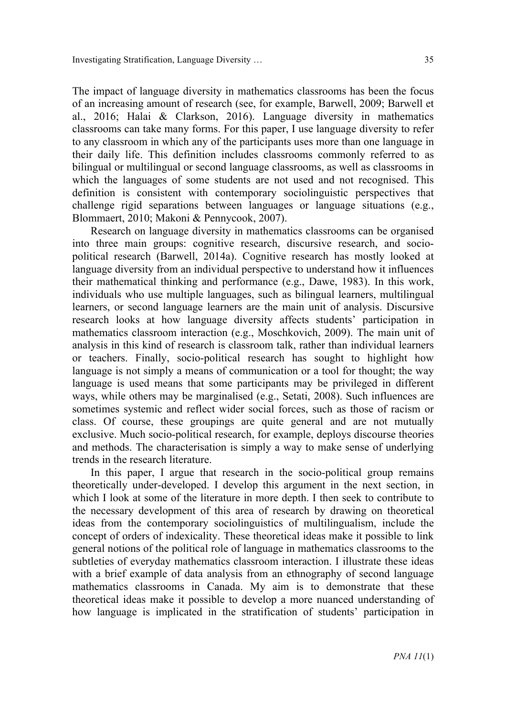The impact of language diversity in mathematics classrooms has been the focus of an increasing amount of research (see, for example, Barwell, 2009; Barwell et al., 2016; Halai & Clarkson, 2016). Language diversity in mathematics classrooms can take many forms. For this paper, I use language diversity to refer to any classroom in which any of the participants uses more than one language in their daily life. This definition includes classrooms commonly referred to as bilingual or multilingual or second language classrooms, as well as classrooms in which the languages of some students are not used and not recognised. This definition is consistent with contemporary sociolinguistic perspectives that challenge rigid separations between languages or language situations (e.g., Blommaert, 2010; Makoni & Pennycook, 2007).

Research on language diversity in mathematics classrooms can be organised into three main groups: cognitive research, discursive research, and sociopolitical research (Barwell, 2014a). Cognitive research has mostly looked at language diversity from an individual perspective to understand how it influences their mathematical thinking and performance (e.g., Dawe, 1983). In this work, individuals who use multiple languages, such as bilingual learners, multilingual learners, or second language learners are the main unit of analysis. Discursive research looks at how language diversity affects students' participation in mathematics classroom interaction (e.g., Moschkovich, 2009). The main unit of analysis in this kind of research is classroom talk, rather than individual learners or teachers. Finally, socio-political research has sought to highlight how language is not simply a means of communication or a tool for thought; the way language is used means that some participants may be privileged in different ways, while others may be marginalised (e.g., Setati, 2008). Such influences are sometimes systemic and reflect wider social forces, such as those of racism or class. Of course, these groupings are quite general and are not mutually exclusive. Much socio-political research, for example, deploys discourse theories and methods. The characterisation is simply a way to make sense of underlying trends in the research literature.

In this paper, I argue that research in the socio-political group remains theoretically under-developed. I develop this argument in the next section, in which I look at some of the literature in more depth. I then seek to contribute to the necessary development of this area of research by drawing on theoretical ideas from the contemporary sociolinguistics of multilingualism, include the concept of orders of indexicality. These theoretical ideas make it possible to link general notions of the political role of language in mathematics classrooms to the subtleties of everyday mathematics classroom interaction. I illustrate these ideas with a brief example of data analysis from an ethnography of second language mathematics classrooms in Canada. My aim is to demonstrate that these theoretical ideas make it possible to develop a more nuanced understanding of how language is implicated in the stratification of students' participation in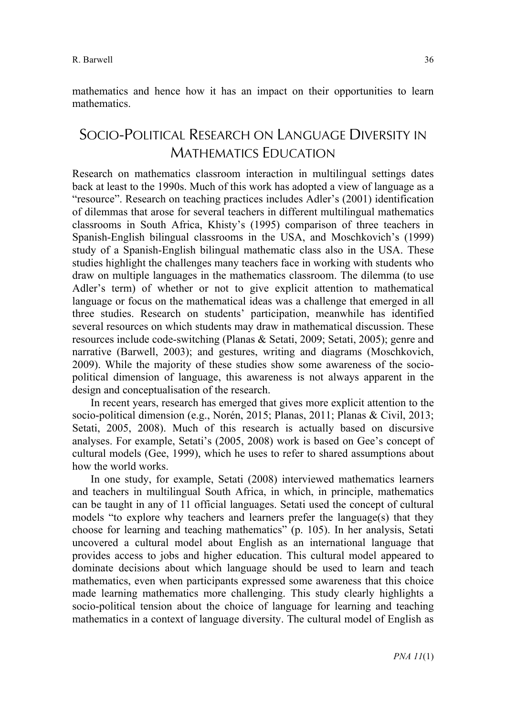mathematics.

# SOCIO-POLITICAL RESEARCH ON LANGUAGE DIVERSITY IN MATHEMATICS EDUCATION

Research on mathematics classroom interaction in multilingual settings dates back at least to the 1990s. Much of this work has adopted a view of language as a "resource". Research on teaching practices includes Adler's (2001) identification of dilemmas that arose for several teachers in different multilingual mathematics classrooms in South Africa, Khisty's (1995) comparison of three teachers in Spanish-English bilingual classrooms in the USA, and Moschkovich's (1999) study of a Spanish-English bilingual mathematic class also in the USA. These studies highlight the challenges many teachers face in working with students who draw on multiple languages in the mathematics classroom. The dilemma (to use Adler's term) of whether or not to give explicit attention to mathematical language or focus on the mathematical ideas was a challenge that emerged in all three studies. Research on students' participation, meanwhile has identified several resources on which students may draw in mathematical discussion. These resources include code-switching (Planas & Setati, 2009; Setati, 2005); genre and narrative (Barwell, 2003); and gestures, writing and diagrams (Moschkovich, 2009). While the majority of these studies show some awareness of the sociopolitical dimension of language, this awareness is not always apparent in the design and conceptualisation of the research.

In recent years, research has emerged that gives more explicit attention to the socio-political dimension (e.g., Norén, 2015; Planas, 2011; Planas & Civil, 2013; Setati, 2005, 2008). Much of this research is actually based on discursive analyses. For example, Setati's (2005, 2008) work is based on Gee's concept of cultural models (Gee, 1999), which he uses to refer to shared assumptions about how the world works.

In one study, for example, Setati (2008) interviewed mathematics learners and teachers in multilingual South Africa, in which, in principle, mathematics can be taught in any of 11 official languages. Setati used the concept of cultural models "to explore why teachers and learners prefer the language(s) that they choose for learning and teaching mathematics" (p. 105). In her analysis, Setati uncovered a cultural model about English as an international language that provides access to jobs and higher education. This cultural model appeared to dominate decisions about which language should be used to learn and teach mathematics, even when participants expressed some awareness that this choice made learning mathematics more challenging. This study clearly highlights a socio-political tension about the choice of language for learning and teaching mathematics in a context of language diversity. The cultural model of English as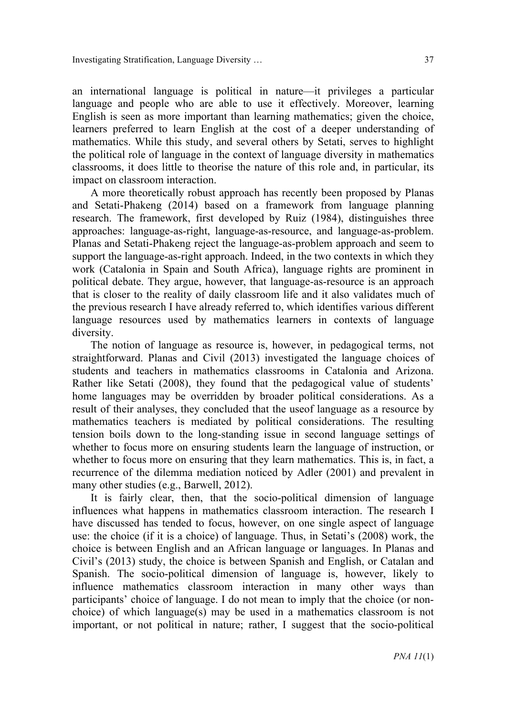an international language is political in nature—it privileges a particular language and people who are able to use it effectively. Moreover, learning English is seen as more important than learning mathematics; given the choice, learners preferred to learn English at the cost of a deeper understanding of mathematics. While this study, and several others by Setati, serves to highlight the political role of language in the context of language diversity in mathematics classrooms, it does little to theorise the nature of this role and, in particular, its impact on classroom interaction.

A more theoretically robust approach has recently been proposed by Planas and Setati-Phakeng (2014) based on a framework from language planning research. The framework, first developed by Ruiz (1984), distinguishes three approaches: language-as-right, language-as-resource, and language-as-problem. Planas and Setati-Phakeng reject the language-as-problem approach and seem to support the language-as-right approach. Indeed, in the two contexts in which they work (Catalonia in Spain and South Africa), language rights are prominent in political debate. They argue, however, that language-as-resource is an approach that is closer to the reality of daily classroom life and it also validates much of the previous research I have already referred to, which identifies various different language resources used by mathematics learners in contexts of language diversity.

The notion of language as resource is, however, in pedagogical terms, not straightforward. Planas and Civil (2013) investigated the language choices of students and teachers in mathematics classrooms in Catalonia and Arizona. Rather like Setati (2008), they found that the pedagogical value of students' home languages may be overridden by broader political considerations. As a result of their analyses, they concluded that the useof language as a resource by mathematics teachers is mediated by political considerations. The resulting tension boils down to the long-standing issue in second language settings of whether to focus more on ensuring students learn the language of instruction, or whether to focus more on ensuring that they learn mathematics. This is, in fact, a recurrence of the dilemma mediation noticed by Adler (2001) and prevalent in many other studies (e.g., Barwell, 2012).

It is fairly clear, then, that the socio-political dimension of language influences what happens in mathematics classroom interaction. The research I have discussed has tended to focus, however, on one single aspect of language use: the choice (if it is a choice) of language. Thus, in Setati's (2008) work, the choice is between English and an African language or languages. In Planas and Civil's (2013) study, the choice is between Spanish and English, or Catalan and Spanish. The socio-political dimension of language is, however, likely to influence mathematics classroom interaction in many other ways than participants' choice of language. I do not mean to imply that the choice (or nonchoice) of which language(s) may be used in a mathematics classroom is not important, or not political in nature; rather, I suggest that the socio-political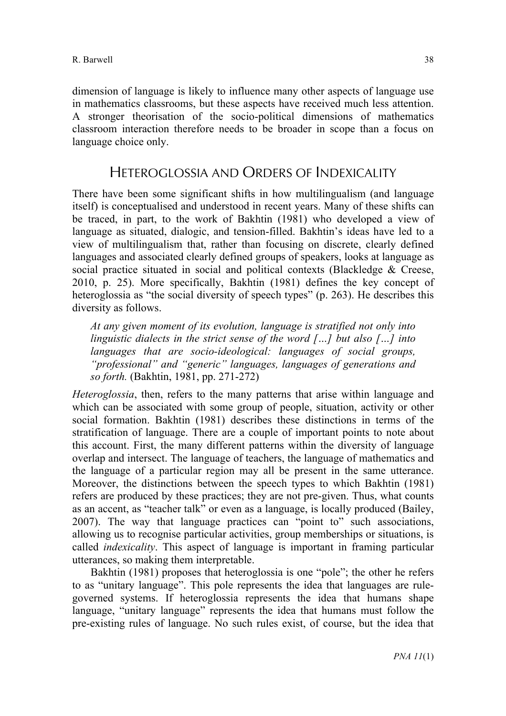dimension of language is likely to influence many other aspects of language use in mathematics classrooms, but these aspects have received much less attention. A stronger theorisation of the socio-political dimensions of mathematics classroom interaction therefore needs to be broader in scope than a focus on language choice only.

# HETEROGLOSSIA AND ORDERS OF INDEXICALITY

There have been some significant shifts in how multilingualism (and language itself) is conceptualised and understood in recent years. Many of these shifts can be traced, in part, to the work of Bakhtin (1981) who developed a view of language as situated, dialogic, and tension-filled. Bakhtin's ideas have led to a view of multilingualism that, rather than focusing on discrete, clearly defined languages and associated clearly defined groups of speakers, looks at language as social practice situated in social and political contexts (Blackledge & Creese, 2010, p. 25). More specifically, Bakhtin (1981) defines the key concept of heteroglossia as "the social diversity of speech types" (p. 263). He describes this diversity as follows.

*At any given moment of its evolution, language is stratified not only into linguistic dialects in the strict sense of the word […] but also […] into languages that are socio-ideological: languages of social groups, "professional" and "generic" languages, languages of generations and so forth.* (Bakhtin, 1981, pp. 271-272)

*Heteroglossia*, then, refers to the many patterns that arise within language and which can be associated with some group of people, situation, activity or other social formation. Bakhtin (1981) describes these distinctions in terms of the stratification of language. There are a couple of important points to note about this account. First, the many different patterns within the diversity of language overlap and intersect. The language of teachers, the language of mathematics and the language of a particular region may all be present in the same utterance. Moreover, the distinctions between the speech types to which Bakhtin (1981) refers are produced by these practices; they are not pre-given. Thus, what counts as an accent, as "teacher talk" or even as a language, is locally produced (Bailey, 2007). The way that language practices can "point to" such associations, allowing us to recognise particular activities, group memberships or situations, is called *indexicality*. This aspect of language is important in framing particular utterances, so making them interpretable.

Bakhtin (1981) proposes that heteroglossia is one "pole"; the other he refers to as "unitary language". This pole represents the idea that languages are rulegoverned systems. If heteroglossia represents the idea that humans shape language, "unitary language" represents the idea that humans must follow the pre-existing rules of language. No such rules exist, of course, but the idea that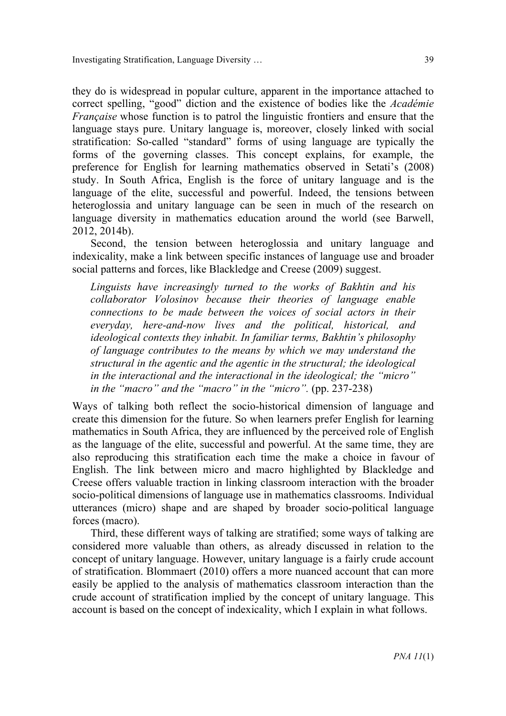they do is widespread in popular culture, apparent in the importance attached to correct spelling, "good" diction and the existence of bodies like the *Académie Française* whose function is to patrol the linguistic frontiers and ensure that the language stays pure. Unitary language is, moreover, closely linked with social stratification: So-called "standard" forms of using language are typically the forms of the governing classes. This concept explains, for example, the preference for English for learning mathematics observed in Setati's (2008) study. In South Africa, English is the force of unitary language and is the language of the elite, successful and powerful. Indeed, the tensions between heteroglossia and unitary language can be seen in much of the research on language diversity in mathematics education around the world (see Barwell, 2012, 2014b).

Second, the tension between heteroglossia and unitary language and indexicality, make a link between specific instances of language use and broader social patterns and forces, like Blackledge and Creese (2009) suggest.

*Linguists have increasingly turned to the works of Bakhtin and his collaborator Volosinov because their theories of language enable connections to be made between the voices of social actors in their everyday, here-and-now lives and the political, historical, and ideological contexts they inhabit. In familiar terms, Bakhtin's philosophy of language contributes to the means by which we may understand the structural in the agentic and the agentic in the structural; the ideological in the interactional and the interactional in the ideological; the "micro" in the "macro" and the "macro" in the "micro".* (pp. 237-238)

Ways of talking both reflect the socio-historical dimension of language and create this dimension for the future. So when learners prefer English for learning mathematics in South Africa, they are influenced by the perceived role of English as the language of the elite, successful and powerful. At the same time, they are also reproducing this stratification each time the make a choice in favour of English. The link between micro and macro highlighted by Blackledge and Creese offers valuable traction in linking classroom interaction with the broader socio-political dimensions of language use in mathematics classrooms. Individual utterances (micro) shape and are shaped by broader socio-political language forces (macro).

Third, these different ways of talking are stratified; some ways of talking are considered more valuable than others, as already discussed in relation to the concept of unitary language. However, unitary language is a fairly crude account of stratification. Blommaert (2010) offers a more nuanced account that can more easily be applied to the analysis of mathematics classroom interaction than the crude account of stratification implied by the concept of unitary language. This account is based on the concept of indexicality, which I explain in what follows.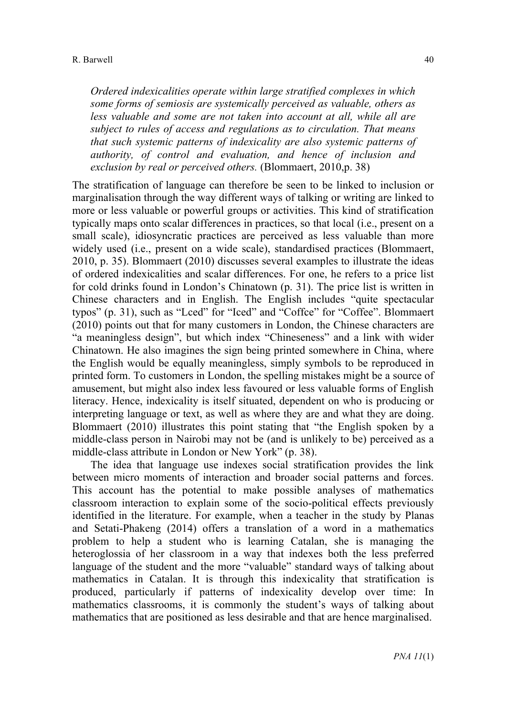*Ordered indexicalities operate within large stratified complexes in which some forms of semiosis are systemically perceived as valuable, others as less valuable and some are not taken into account at all, while all are subject to rules of access and regulations as to circulation. That means that such systemic patterns of indexicality are also systemic patterns of authority, of control and evaluation, and hence of inclusion and exclusion by real or perceived others.* (Blommaert, 2010,p. 38)

The stratification of language can therefore be seen to be linked to inclusion or marginalisation through the way different ways of talking or writing are linked to more or less valuable or powerful groups or activities. This kind of stratification typically maps onto scalar differences in practices, so that local (i.e., present on a small scale), idiosyncratic practices are perceived as less valuable than more widely used (i.e., present on a wide scale), standardised practices (Blommaert, 2010, p. 35). Blommaert (2010) discusses several examples to illustrate the ideas of ordered indexicalities and scalar differences. For one, he refers to a price list for cold drinks found in London's Chinatown (p. 31). The price list is written in Chinese characters and in English. The English includes "quite spectacular typos" (p. 31), such as "Lced" for "Iced" and "Coffce" for "Coffee". Blommaert (2010) points out that for many customers in London, the Chinese characters are "a meaningless design", but which index "Chineseness" and a link with wider Chinatown. He also imagines the sign being printed somewhere in China, where the English would be equally meaningless, simply symbols to be reproduced in printed form. To customers in London, the spelling mistakes might be a source of amusement, but might also index less favoured or less valuable forms of English literacy. Hence, indexicality is itself situated, dependent on who is producing or interpreting language or text, as well as where they are and what they are doing. Blommaert (2010) illustrates this point stating that "the English spoken by a middle-class person in Nairobi may not be (and is unlikely to be) perceived as a middle-class attribute in London or New York" (p. 38).

The idea that language use indexes social stratification provides the link between micro moments of interaction and broader social patterns and forces. This account has the potential to make possible analyses of mathematics classroom interaction to explain some of the socio-political effects previously identified in the literature. For example, when a teacher in the study by Planas and Setati-Phakeng (2014) offers a translation of a word in a mathematics problem to help a student who is learning Catalan, she is managing the heteroglossia of her classroom in a way that indexes both the less preferred language of the student and the more "valuable" standard ways of talking about mathematics in Catalan. It is through this indexicality that stratification is produced, particularly if patterns of indexicality develop over time: In mathematics classrooms, it is commonly the student's ways of talking about mathematics that are positioned as less desirable and that are hence marginalised.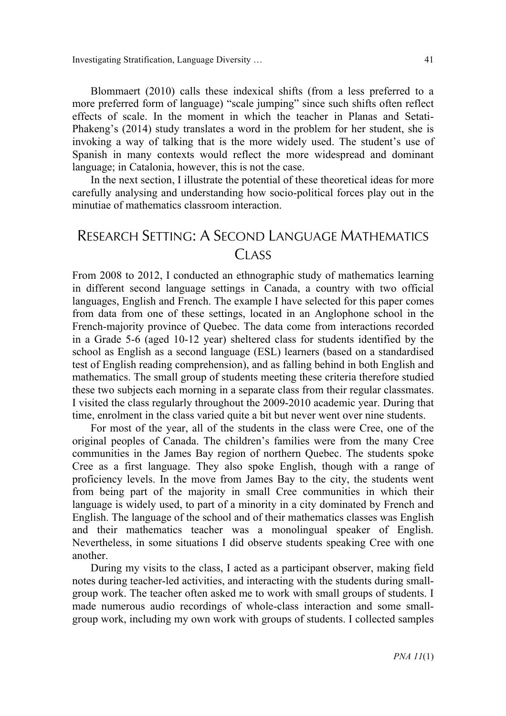Investigating Stratification, Language Diversity … 41

Blommaert (2010) calls these indexical shifts (from a less preferred to a more preferred form of language) "scale jumping" since such shifts often reflect effects of scale. In the moment in which the teacher in Planas and Setati-Phakeng's (2014) study translates a word in the problem for her student, she is invoking a way of talking that is the more widely used. The student's use of Spanish in many contexts would reflect the more widespread and dominant language; in Catalonia, however, this is not the case.

In the next section, I illustrate the potential of these theoretical ideas for more carefully analysing and understanding how socio-political forces play out in the minutiae of mathematics classroom interaction.

# RESEARCH SETTING: A SECOND LANGUAGE MATHEMATICS **CLASS**

From 2008 to 2012, I conducted an ethnographic study of mathematics learning in different second language settings in Canada, a country with two official languages, English and French. The example I have selected for this paper comes from data from one of these settings, located in an Anglophone school in the French-majority province of Quebec. The data come from interactions recorded in a Grade 5-6 (aged 10-12 year) sheltered class for students identified by the school as English as a second language (ESL) learners (based on a standardised test of English reading comprehension), and as falling behind in both English and mathematics. The small group of students meeting these criteria therefore studied these two subjects each morning in a separate class from their regular classmates. I visited the class regularly throughout the 2009-2010 academic year. During that time, enrolment in the class varied quite a bit but never went over nine students.

For most of the year, all of the students in the class were Cree, one of the original peoples of Canada. The children's families were from the many Cree communities in the James Bay region of northern Quebec. The students spoke Cree as a first language. They also spoke English, though with a range of proficiency levels. In the move from James Bay to the city, the students went from being part of the majority in small Cree communities in which their language is widely used, to part of a minority in a city dominated by French and English. The language of the school and of their mathematics classes was English and their mathematics teacher was a monolingual speaker of English. Nevertheless, in some situations I did observe students speaking Cree with one another.

During my visits to the class, I acted as a participant observer, making field notes during teacher-led activities, and interacting with the students during smallgroup work. The teacher often asked me to work with small groups of students. I made numerous audio recordings of whole-class interaction and some smallgroup work, including my own work with groups of students. I collected samples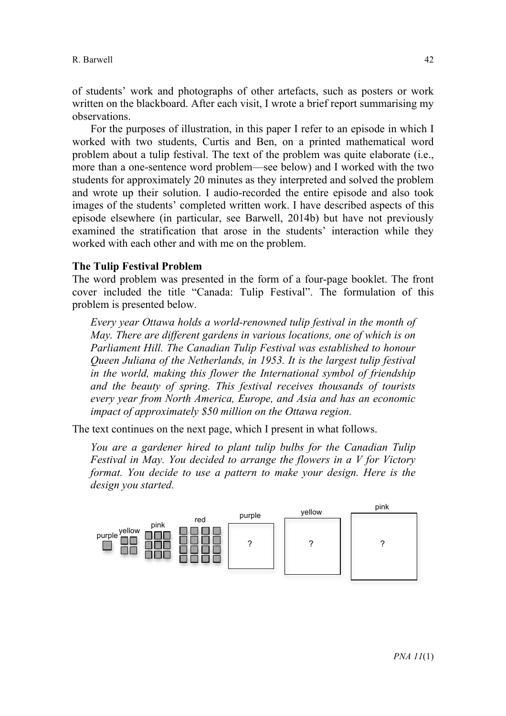of students' work and photographs of other artefacts, such as posters or work written on the blackboard. After each visit, I wrote a brief report summarising my observations.

For the purposes of illustration, in this paper I refer to an episode in which I worked with two students, Curtis and Ben, on a printed mathematical word problem about a tulip festival. The text of the problem was quite elaborate (i.e., more than a one-sentence word problem—see below) and I worked with the two students for approximately 20 minutes as they interpreted and solved the problem and wrote up their solution. I audio-recorded the entire episode and also took images of the students' completed written work. I have described aspects of this episode elsewhere (in particular, see Barwell, 2014b) but have not previously examined the stratification that arose in the students' interaction while they worked with each other and with me on the problem.

#### **The Tulip Festival Problem**

The word problem was presented in the form of a four-page booklet. The front cover included the title "Canada: Tulip Festival". The formulation of this problem is presented below.

*Every year Ottawa holds a world-renowned tulip festival in the month of May. There are different gardens in various locations, one of which is on Parliament Hill. The Canadian Tulip Festival was established to honour Queen Juliana of the Netherlands, in 1953. It is the largest tulip festival in the world, making this flower the International symbol of friendship and the beauty of spring. This festival receives thousands of tourists every year from North America, Europe, and Asia and has an economic impact of approximately \$50 million on the Ottawa region.*

The text continues on the next page, which I present in what follows.

*You are a gardener hired to plant tulip bulbs for the Canadian Tulip Festival in May. You decided to arrange the flowers in a V for Victory format. You decide to use a pattern to make your design. Here is the design you started.* 

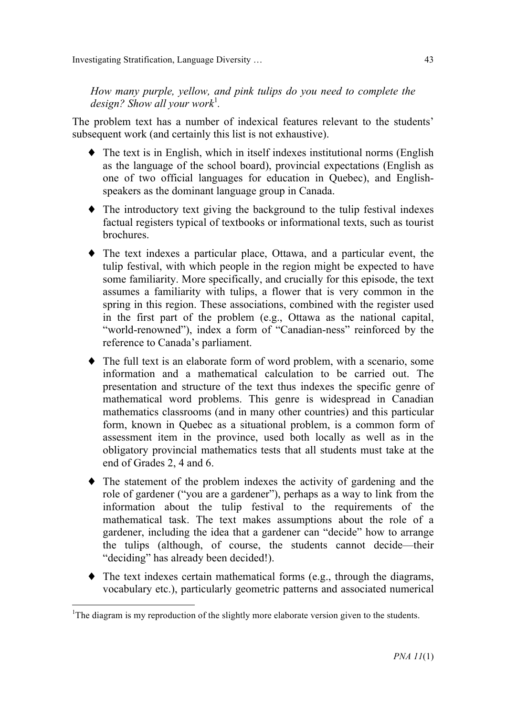*How many purple, yellow, and pink tulips do you need to complete the*  design? Show all your work<sup>1</sup>.

The problem text has a number of indexical features relevant to the students' subsequent work (and certainly this list is not exhaustive).

- ♦ The text is in English, which in itself indexes institutional norms (English as the language of the school board), provincial expectations (English as one of two official languages for education in Quebec), and Englishspeakers as the dominant language group in Canada.
- ♦ The introductory text giving the background to the tulip festival indexes factual registers typical of textbooks or informational texts, such as tourist brochures.
- ♦ The text indexes a particular place, Ottawa, and a particular event, the tulip festival, with which people in the region might be expected to have some familiarity. More specifically, and crucially for this episode, the text assumes a familiarity with tulips, a flower that is very common in the spring in this region. These associations, combined with the register used in the first part of the problem (e.g., Ottawa as the national capital, "world-renowned"), index a form of "Canadian-ness" reinforced by the reference to Canada's parliament.
- ♦ The full text is an elaborate form of word problem, with a scenario, some information and a mathematical calculation to be carried out. The presentation and structure of the text thus indexes the specific genre of mathematical word problems. This genre is widespread in Canadian mathematics classrooms (and in many other countries) and this particular form, known in Quebec as a situational problem, is a common form of assessment item in the province, used both locally as well as in the obligatory provincial mathematics tests that all students must take at the end of Grades 2, 4 and 6.
- ♦ The statement of the problem indexes the activity of gardening and the role of gardener ("you are a gardener"), perhaps as a way to link from the information about the tulip festival to the requirements of the mathematical task. The text makes assumptions about the role of a gardener, including the idea that a gardener can "decide" how to arrange the tulips (although, of course, the students cannot decide—their "deciding" has already been decided!).
- ♦ The text indexes certain mathematical forms (e.g., through the diagrams, vocabulary etc.), particularly geometric patterns and associated numerical

 $\frac{1}{1}$ <sup>1</sup>The diagram is my reproduction of the slightly more elaborate version given to the students.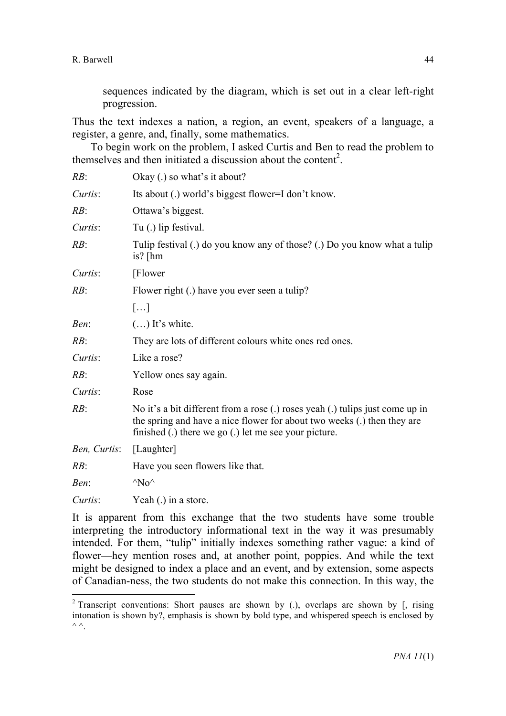sequences indicated by the diagram, which is set out in a clear left-right progression.

Thus the text indexes a nation, a region, an event, speakers of a language, a register, a genre, and, finally, some mathematics.

To begin work on the problem, I asked Curtis and Ben to read the problem to themselves and then initiated a discussion about the content<sup>2</sup>.

| RB:          | Okay (.) so what's it about?                                                                                                                                                                                      |
|--------------|-------------------------------------------------------------------------------------------------------------------------------------------------------------------------------------------------------------------|
| Curtis:      | Its about (.) world's biggest flower=I don't know.                                                                                                                                                                |
| RB:          | Ottawa's biggest.                                                                                                                                                                                                 |
| Curtis:      | Tu (.) lip festival.                                                                                                                                                                                              |
| RB:          | Tulip festival (.) do you know any of those? (.) Do you know what a tulip<br>is? $[hm]$                                                                                                                           |
| Curtis:      | [Flower]                                                                                                                                                                                                          |
| RB:          | Flower right (.) have you ever seen a tulip?                                                                                                                                                                      |
|              | []                                                                                                                                                                                                                |
| Ben:         | $()$ It's white.                                                                                                                                                                                                  |
| RB:          | They are lots of different colours white ones red ones.                                                                                                                                                           |
| Curtis:      | Like a rose?                                                                                                                                                                                                      |
| RB:          | Yellow ones say again.                                                                                                                                                                                            |
| Curtis:      | Rose                                                                                                                                                                                                              |
| RB:          | No it's a bit different from a rose (.) roses yeah (.) tulips just come up in<br>the spring and have a nice flower for about two weeks (.) then they are<br>finished (.) there we go (.) let me see your picture. |
| Ben, Curtis: | [Laughter]                                                                                                                                                                                                        |
| RB:          | Have you seen flowers like that.                                                                                                                                                                                  |
| Ben:         | $^{\wedge}$ No $^{\wedge}$                                                                                                                                                                                        |
| Curtis:      | Yeah (.) in a store.                                                                                                                                                                                              |

It is apparent from this exchange that the two students have some trouble interpreting the introductory informational text in the way it was presumably intended. For them, "tulip" initially indexes something rather vague: a kind of flower—hey mention roses and, at another point, poppies. And while the text might be designed to index a place and an event, and by extension, some aspects of Canadian-ness, the two students do not make this connection. In this way, the

<sup>&</sup>lt;sup>2</sup> Transcript conventions: Short pauses are shown by (.), overlaps are shown by  $\beta$ , rising intonation is shown by?, emphasis is shown by bold type, and whispered speech is enclosed by  $\land$   $\land$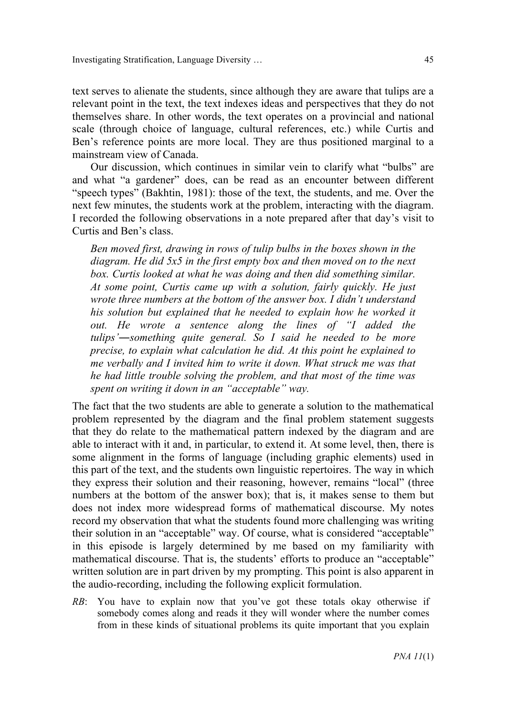text serves to alienate the students, since although they are aware that tulips are a relevant point in the text, the text indexes ideas and perspectives that they do not themselves share. In other words, the text operates on a provincial and national scale (through choice of language, cultural references, etc.) while Curtis and Ben's reference points are more local. They are thus positioned marginal to a mainstream view of Canada.

Our discussion, which continues in similar vein to clarify what "bulbs" are and what "a gardener" does, can be read as an encounter between different "speech types" (Bakhtin, 1981): those of the text, the students, and me. Over the next few minutes, the students work at the problem, interacting with the diagram. I recorded the following observations in a note prepared after that day's visit to Curtis and Ben's class.

*Ben moved first, drawing in rows of tulip bulbs in the boxes shown in the diagram. He did 5x5 in the first empty box and then moved on to the next box. Curtis looked at what he was doing and then did something similar. At some point, Curtis came up with a solution, fairly quickly. He just wrote three numbers at the bottom of the answer box. I didn't understand his solution but explained that he needed to explain how he worked it out. He wrote a sentence along the lines of "I added the tulips'―something quite general. So I said he needed to be more precise, to explain what calculation he did. At this point he explained to me verbally and I invited him to write it down. What struck me was that he had little trouble solving the problem, and that most of the time was spent on writing it down in an "acceptable" way.*

The fact that the two students are able to generate a solution to the mathematical problem represented by the diagram and the final problem statement suggests that they do relate to the mathematical pattern indexed by the diagram and are able to interact with it and, in particular, to extend it. At some level, then, there is some alignment in the forms of language (including graphic elements) used in this part of the text, and the students own linguistic repertoires. The way in which they express their solution and their reasoning, however, remains "local" (three numbers at the bottom of the answer box); that is, it makes sense to them but does not index more widespread forms of mathematical discourse. My notes record my observation that what the students found more challenging was writing their solution in an "acceptable" way. Of course, what is considered "acceptable" in this episode is largely determined by me based on my familiarity with mathematical discourse. That is, the students' efforts to produce an "acceptable" written solution are in part driven by my prompting. This point is also apparent in the audio-recording, including the following explicit formulation.

*RB*: You have to explain now that you've got these totals okay otherwise if somebody comes along and reads it they will wonder where the number comes from in these kinds of situational problems its quite important that you explain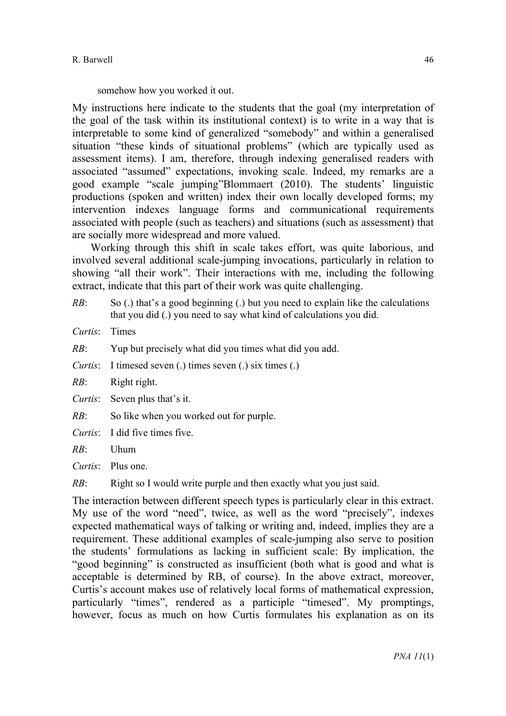somehow how you worked it out.

My instructions here indicate to the students that the goal (my interpretation of the goal of the task within its institutional context) is to write in a way that is interpretable to some kind of generalized "somebody" and within a generalised situation "these kinds of situational problems" (which are typically used as assessment items). I am, therefore, through indexing generalised readers with associated "assumed" expectations, invoking scale. Indeed, my remarks are a good example "scale jumping"Blommaert (2010). The students' linguistic productions (spoken and written) index their own locally developed forms; my intervention indexes language forms and communicational requirements associated with people (such as teachers) and situations (such as assessment) that are socially more widespread and more valued.

Working through this shift in scale takes effort, was quite laborious, and involved several additional scale-jumping invocations, particularly in relation to showing "all their work". Their interactions with me, including the following extract, indicate that this part of their work was quite challenging.

*RB*: So (.) that's a good beginning (.) but you need to explain like the calculations that you did (.) you need to say what kind of calculations you did.

*Curtis*: Times

- *RB*: Yup but precisely what did you times what did you add.
- *Curtis*: I timesed seven (.) times seven (.) six times (.)
- *RB*: Right right.

*Curtis*: Seven plus that's it.

- *RB*: So like when you worked out for purple.
- *Curtis*: I did five times five.

 $RR$ <sup>:</sup> Uhum

*Curtis*: Plus one.

*RB*: Right so I would write purple and then exactly what you just said.

The interaction between different speech types is particularly clear in this extract. My use of the word "need", twice, as well as the word "precisely", indexes expected mathematical ways of talking or writing and, indeed, implies they are a requirement. These additional examples of scale-jumping also serve to position the students' formulations as lacking in sufficient scale: By implication, the "good beginning" is constructed as insufficient (both what is good and what is acceptable is determined by RB, of course). In the above extract, moreover, Curtis's account makes use of relatively local forms of mathematical expression, particularly "times", rendered as a participle "timesed". My promptings, however, focus as much on how Curtis formulates his explanation as on its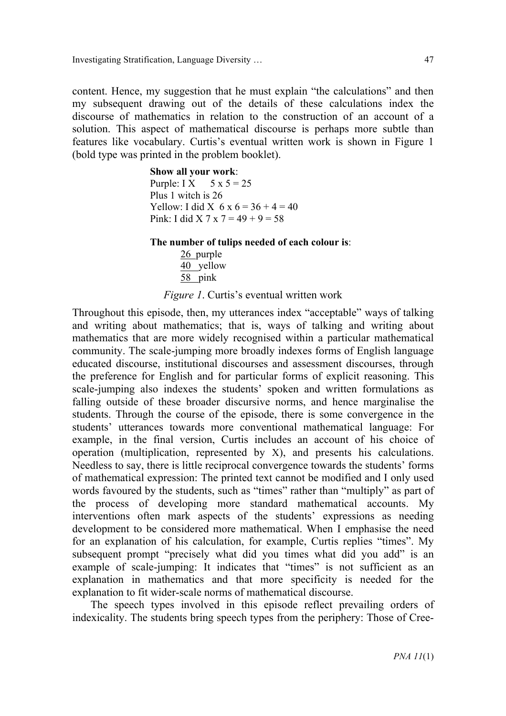Investigating Stratification, Language Diversity … 47

content. Hence, my suggestion that he must explain "the calculations" and then my subsequent drawing out of the details of these calculations index the discourse of mathematics in relation to the construction of an account of a solution. This aspect of mathematical discourse is perhaps more subtle than features like vocabulary. Curtis's eventual written work is shown in Figure 1 (bold type was printed in the problem booklet).

#### **Show all your work**:

Purple: I X  $5 \times 5 = 25$ Plus 1 witch is 26 Yellow: I did X  $6 \times 6 = 36 + 4 = 40$ Pink: I did X 7 x 7 =  $49 + 9 = 58$ 

**The number of tulips needed of each colour is**:

26 purple 40 yellow 58 pink

*Figure 1*. Curtis's eventual written work

Throughout this episode, then, my utterances index "acceptable" ways of talking and writing about mathematics; that is, ways of talking and writing about mathematics that are more widely recognised within a particular mathematical community. The scale-jumping more broadly indexes forms of English language educated discourse, institutional discourses and assessment discourses, through the preference for English and for particular forms of explicit reasoning. This scale-jumping also indexes the students' spoken and written formulations as falling outside of these broader discursive norms, and hence marginalise the students. Through the course of the episode, there is some convergence in the students' utterances towards more conventional mathematical language: For example, in the final version, Curtis includes an account of his choice of operation (multiplication, represented by X), and presents his calculations. Needless to say, there is little reciprocal convergence towards the students' forms of mathematical expression: The printed text cannot be modified and I only used words favoured by the students, such as "times" rather than "multiply" as part of the process of developing more standard mathematical accounts. My interventions often mark aspects of the students' expressions as needing development to be considered more mathematical. When I emphasise the need for an explanation of his calculation, for example, Curtis replies "times". My subsequent prompt "precisely what did you times what did you add" is an example of scale-jumping: It indicates that "times" is not sufficient as an explanation in mathematics and that more specificity is needed for the explanation to fit wider-scale norms of mathematical discourse.

The speech types involved in this episode reflect prevailing orders of indexicality. The students bring speech types from the periphery: Those of Cree-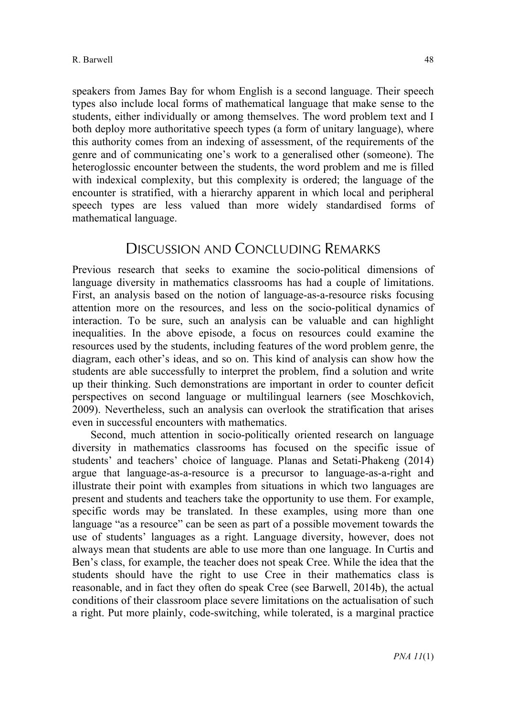speakers from James Bay for whom English is a second language. Their speech types also include local forms of mathematical language that make sense to the students, either individually or among themselves. The word problem text and I both deploy more authoritative speech types (a form of unitary language), where this authority comes from an indexing of assessment, of the requirements of the genre and of communicating one's work to a generalised other (someone). The heteroglossic encounter between the students, the word problem and me is filled with indexical complexity, but this complexity is ordered; the language of the encounter is stratified, with a hierarchy apparent in which local and peripheral speech types are less valued than more widely standardised forms of mathematical language.

## DISCUSSION AND CONCLUDING REMARKS

Previous research that seeks to examine the socio-political dimensions of language diversity in mathematics classrooms has had a couple of limitations. First, an analysis based on the notion of language-as-a-resource risks focusing attention more on the resources, and less on the socio-political dynamics of interaction. To be sure, such an analysis can be valuable and can highlight inequalities. In the above episode, a focus on resources could examine the resources used by the students, including features of the word problem genre, the diagram, each other's ideas, and so on. This kind of analysis can show how the students are able successfully to interpret the problem, find a solution and write up their thinking. Such demonstrations are important in order to counter deficit perspectives on second language or multilingual learners (see Moschkovich, 2009). Nevertheless, such an analysis can overlook the stratification that arises even in successful encounters with mathematics.

Second, much attention in socio-politically oriented research on language diversity in mathematics classrooms has focused on the specific issue of students' and teachers' choice of language. Planas and Setati-Phakeng (2014) argue that language-as-a-resource is a precursor to language-as-a-right and illustrate their point with examples from situations in which two languages are present and students and teachers take the opportunity to use them. For example, specific words may be translated. In these examples, using more than one language "as a resource" can be seen as part of a possible movement towards the use of students' languages as a right. Language diversity, however, does not always mean that students are able to use more than one language. In Curtis and Ben's class, for example, the teacher does not speak Cree. While the idea that the students should have the right to use Cree in their mathematics class is reasonable, and in fact they often do speak Cree (see Barwell, 2014b), the actual conditions of their classroom place severe limitations on the actualisation of such a right. Put more plainly, code-switching, while tolerated, is a marginal practice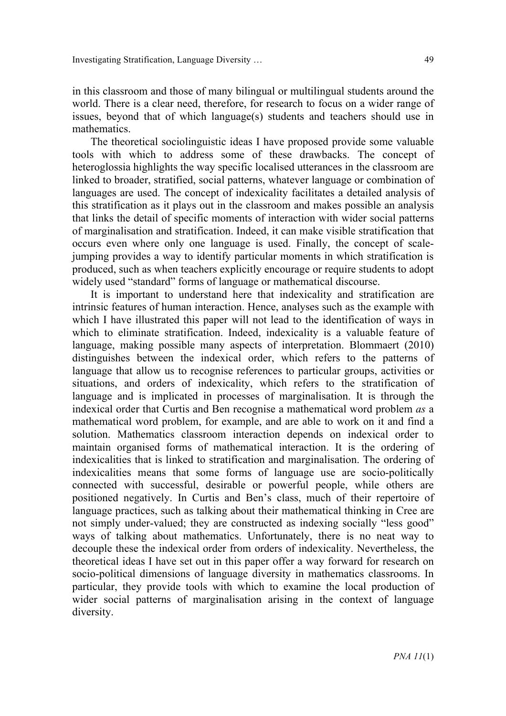in this classroom and those of many bilingual or multilingual students around the world. There is a clear need, therefore, for research to focus on a wider range of issues, beyond that of which language(s) students and teachers should use in mathematics.

The theoretical sociolinguistic ideas I have proposed provide some valuable tools with which to address some of these drawbacks. The concept of heteroglossia highlights the way specific localised utterances in the classroom are linked to broader, stratified, social patterns, whatever language or combination of languages are used. The concept of indexicality facilitates a detailed analysis of this stratification as it plays out in the classroom and makes possible an analysis that links the detail of specific moments of interaction with wider social patterns of marginalisation and stratification. Indeed, it can make visible stratification that occurs even where only one language is used. Finally, the concept of scalejumping provides a way to identify particular moments in which stratification is produced, such as when teachers explicitly encourage or require students to adopt widely used "standard" forms of language or mathematical discourse.

It is important to understand here that indexicality and stratification are intrinsic features of human interaction. Hence, analyses such as the example with which I have illustrated this paper will not lead to the identification of ways in which to eliminate stratification. Indeed, indexicality is a valuable feature of language, making possible many aspects of interpretation. Blommaert (2010) distinguishes between the indexical order, which refers to the patterns of language that allow us to recognise references to particular groups, activities or situations, and orders of indexicality, which refers to the stratification of language and is implicated in processes of marginalisation. It is through the indexical order that Curtis and Ben recognise a mathematical word problem *as* a mathematical word problem, for example, and are able to work on it and find a solution. Mathematics classroom interaction depends on indexical order to maintain organised forms of mathematical interaction. It is the ordering of indexicalities that is linked to stratification and marginalisation. The ordering of indexicalities means that some forms of language use are socio-politically connected with successful, desirable or powerful people, while others are positioned negatively. In Curtis and Ben's class, much of their repertoire of language practices, such as talking about their mathematical thinking in Cree are not simply under-valued; they are constructed as indexing socially "less good" ways of talking about mathematics. Unfortunately, there is no neat way to decouple these the indexical order from orders of indexicality. Nevertheless, the theoretical ideas I have set out in this paper offer a way forward for research on socio-political dimensions of language diversity in mathematics classrooms. In particular, they provide tools with which to examine the local production of wider social patterns of marginalisation arising in the context of language diversity.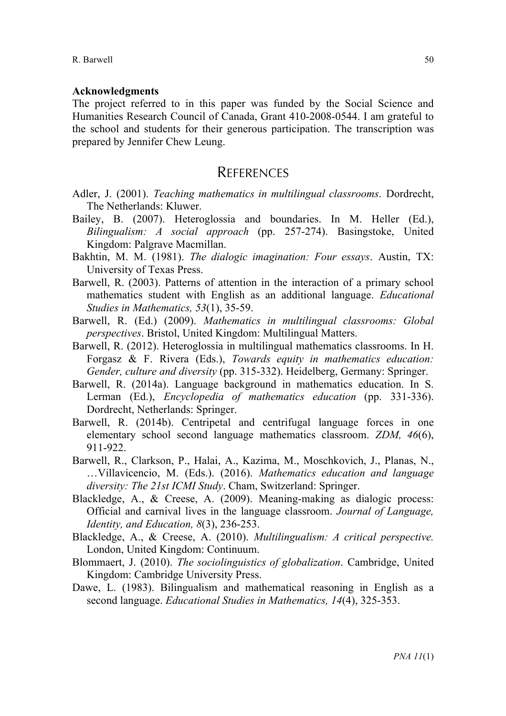#### **Acknowledgments**

The project referred to in this paper was funded by the Social Science and Humanities Research Council of Canada, Grant 410-2008-0544. I am grateful to the school and students for their generous participation. The transcription was prepared by Jennifer Chew Leung.

### **REFERENCES**

- Adler, J. (2001). *Teaching mathematics in multilingual classrooms*. Dordrecht, The Netherlands: Kluwer.
- Bailey, B. (2007). Heteroglossia and boundaries. In M. Heller (Ed.), *Bilingualism: A social approach* (pp. 257-274). Basingstoke, United Kingdom: Palgrave Macmillan.
- Bakhtin, M. M. (1981). *The dialogic imagination: Four essays*. Austin, TX: University of Texas Press.
- Barwell, R. (2003). Patterns of attention in the interaction of a primary school mathematics student with English as an additional language. *Educational Studies in Mathematics, 53*(1), 35-59.
- Barwell, R. (Ed.) (2009). *Mathematics in multilingual classrooms: Global perspectives*. Bristol, United Kingdom: Multilingual Matters.
- Barwell, R. (2012). Heteroglossia in multilingual mathematics classrooms. In H. Forgasz & F. Rivera (Eds.), *Towards equity in mathematics education: Gender, culture and diversity* (pp. 315-332). Heidelberg, Germany: Springer.
- Barwell, R. (2014a). Language background in mathematics education. In S. Lerman (Ed.), *Encyclopedia of mathematics education* (pp. 331-336). Dordrecht, Netherlands: Springer.
- Barwell, R. (2014b). Centripetal and centrifugal language forces in one elementary school second language mathematics classroom. *ZDM, 46*(6), 911-922.
- Barwell, R., Clarkson, P., Halai, A., Kazima, M., Moschkovich, J., Planas, N., …Villavicencio, M. (Eds.). (2016). *Mathematics education and language diversity: The 21st ICMI Study*. Cham, Switzerland: Springer.
- Blackledge, A., & Creese, A. (2009). Meaning-making as dialogic process: Official and carnival lives in the language classroom. *Journal of Language, Identity, and Education, 8*(3), 236-253.
- Blackledge, A., & Creese, A. (2010). *Multilingualism: A critical perspective.*  London, United Kingdom: Continuum.
- Blommaert, J. (2010). *The sociolinguistics of globalization*. Cambridge, United Kingdom: Cambridge University Press.
- Dawe, L. (1983). Bilingualism and mathematical reasoning in English as a second language. *Educational Studies in Mathematics, 14*(4), 325-353.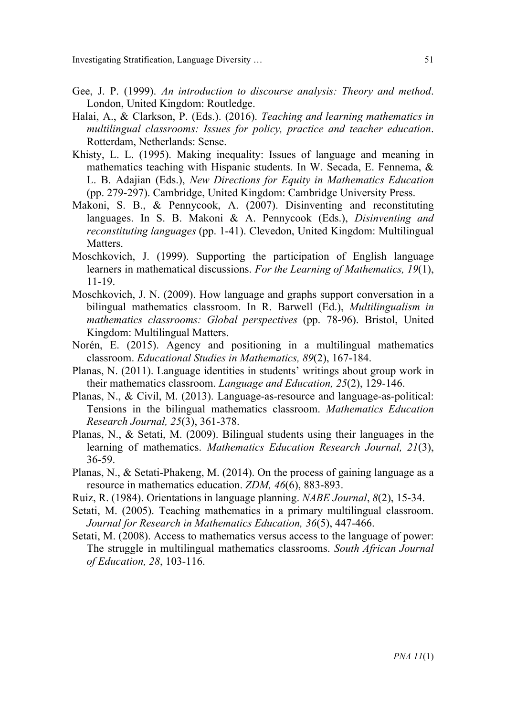- Gee, J. P. (1999). *An introduction to discourse analysis: Theory and method*. London, United Kingdom: Routledge.
- Halai, A., & Clarkson, P. (Eds.). (2016). *Teaching and learning mathematics in multilingual classrooms: Issues for policy, practice and teacher education*. Rotterdam, Netherlands: Sense.
- Khisty, L. L. (1995). Making inequality: Issues of language and meaning in mathematics teaching with Hispanic students. In W. Secada, E. Fennema, & L. B. Adajian (Eds.), *New Directions for Equity in Mathematics Education*  (pp. 279-297). Cambridge, United Kingdom: Cambridge University Press.
- Makoni, S. B., & Pennycook, A. (2007). Disinventing and reconstituting languages. In S. B. Makoni & A. Pennycook (Eds.), *Disinventing and reconstituting languages* (pp. 1-41). Clevedon, United Kingdom: Multilingual Matters.
- Moschkovich, J. (1999). Supporting the participation of English language learners in mathematical discussions. *For the Learning of Mathematics, 19*(1), 11-19.
- Moschkovich, J. N. (2009). How language and graphs support conversation in a bilingual mathematics classroom. In R. Barwell (Ed.), *Multilingualism in mathematics classrooms: Global perspectives* (pp. 78-96). Bristol, United Kingdom: Multilingual Matters.
- Norén, E. (2015). Agency and positioning in a multilingual mathematics classroom. *Educational Studies in Mathematics, 89*(2), 167-184.
- Planas, N. (2011). Language identities in students' writings about group work in their mathematics classroom. *Language and Education, 25*(2), 129-146.
- Planas, N., & Civil, M. (2013). Language-as-resource and language-as-political: Tensions in the bilingual mathematics classroom. *Mathematics Education Research Journal, 25*(3), 361-378.
- Planas, N., & Setati, M. (2009). Bilingual students using their languages in the learning of mathematics. *Mathematics Education Research Journal, 21*(3), 36-59.
- Planas, N., & Setati-Phakeng, M. (2014). On the process of gaining language as a resource in mathematics education. *ZDM, 46*(6), 883-893.
- Ruiz, R. (1984). Orientations in language planning. *NABE Journal*, *8*(2), 15-34.
- Setati, M. (2005). Teaching mathematics in a primary multilingual classroom. *Journal for Research in Mathematics Education, 36*(5), 447-466.
- Setati, M. (2008). Access to mathematics versus access to the language of power: The struggle in multilingual mathematics classrooms. *South African Journal of Education, 28*, 103-116.